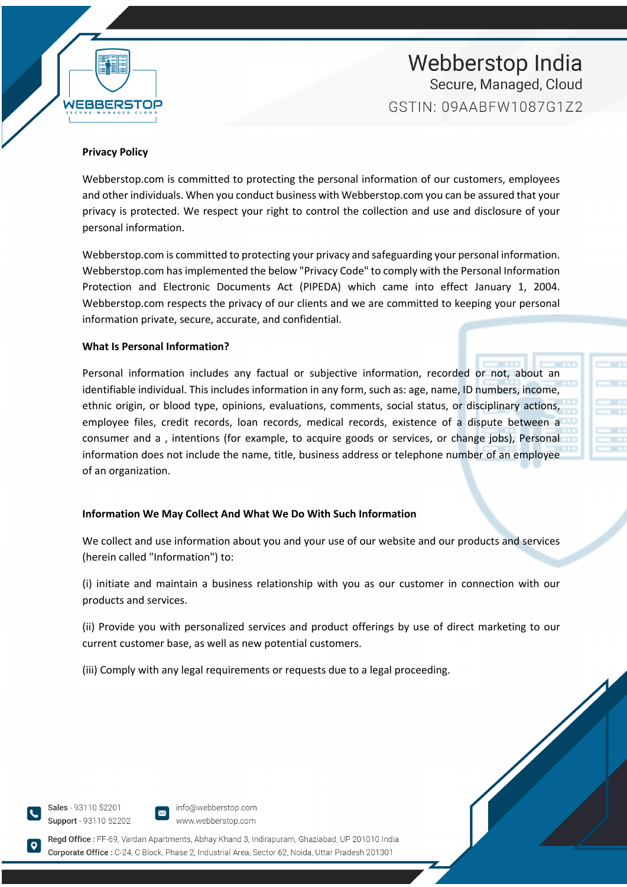

# Webberstop India Secure, Managed, Cloud GSTIN: 09AARFW1087G172

### **Privacy Policy**

Webberstop.com is committed to protecting the personal information of our customers, employees and other individuals. When you conduct business with Webberstop.com you can be assured that your privacy is protected. We respect your right to control the collection and use and disclosure of your personal information.

Webberstop.com is committed to protecting your privacy and safeguarding your personal information. Webberstop.com has implemented the below "Privacy Code" to comply with the Personal Information Protection and Electronic Documents Act (PIPEDA) which came into effect January 1, 2004. Webberstop.com respects the privacy of our clients and we are committed to keeping your personal information private, secure, accurate, and confidential.

## **What Is Personal Information?**

Personal information includes any factual or subjective information, recorded or not, about an identifiable individual. This includes information in any form, such as: age, name, ID numbers, income, ethnic origin, or blood type, opinions, evaluations, comments, social status, or disciplinary actions, employee files, credit records, loan records, medical records, existence of a dispute between a consumer and a , intentions (for example, to acquire goods or services, or change jobs), Personal information does not include the name, title, business address or telephone number of an employee of an organization.

## **Information We May Collect And What We Do With Such Information**

We collect and use information about you and your use of our website and our products and services (herein called "Information") to:

(i) initiate and maintain a business relationship with you as our customer in connection with our products and services.

(ii) Provide you with personalized services and product offerings by use of direct marketing to our current customer base, as well as new potential customers.

(iii) Comply with any legal requirements or requests due to a legal proceeding.

Sales - 93110 52201 Support - 93110 52202



Regd Office: FF-69, Vardan Apartments, Abhay Khand 3, Indirapuram, Ghaziabad, UP 201010 India Corporate Office : C-24. C Block, Phase 2. Industrial Area, Sector 62, Noida, Uttar Pradesh 201301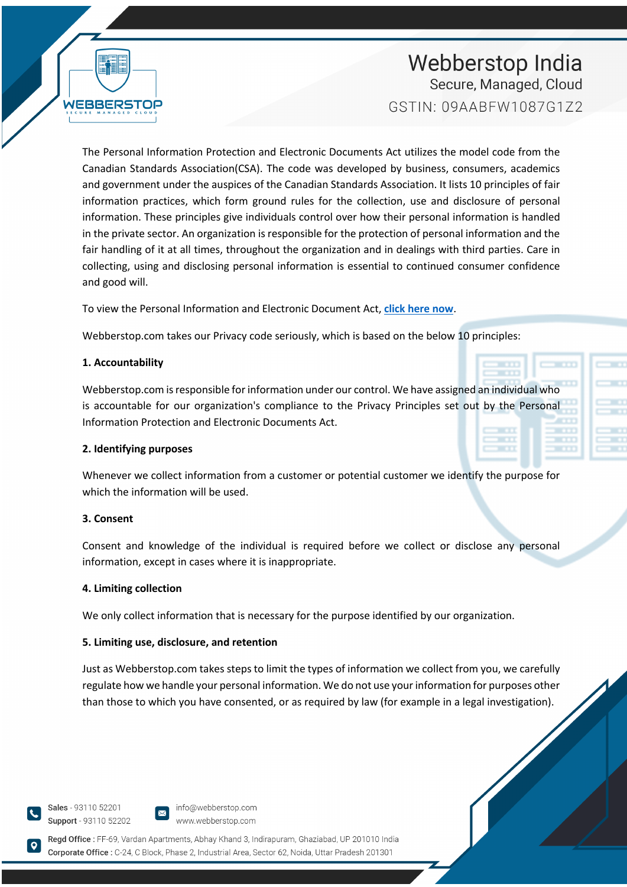Webberstop India Secure, Managed, Cloud GSTIN: 09AABFW1087G1Z2

WEBBER

The Personal Information Protection and Electronic Documents Act utilizes the model code from the Canadian Standards Association(CSA). The code was developed by business, consumers, academics and government under the auspices of the Canadian Standards Association. It lists 10 principles of fair information practices, which form ground rules for the collection, use and disclosure of personal information. These principles give individuals control over how their personal information is handled in the private sector. An organization is responsible for the protection of personal information and the fair handling of it at all times, throughout the organization and in dealings with third parties. Care in collecting, using and disclosing personal information is essential to continued consumer confidence and good will.

To view the Personal Information and Electronic Document Act, **click here now**.

Webberstop.com takes our Privacy code seriously, which is based on the below 10 principles:

## **1. Accountability**

Webberstop.com is responsible for information under our control. We have assigned an individual who is accountable for our organization's compliance to the Privacy Principles set out by the Personal Information Protection and Electronic Documents Act.

## **2. Identifying purposes**

Whenever we collect information from a customer or potential customer we identify the purpose for which the information will be used.

# **3. Consent**

Consent and knowledge of the individual is required before we collect or disclose any personal information, except in cases where it is inappropriate.

## **4. Limiting collection**

We only collect information that is necessary for the purpose identified by our organization.

# **5. Limiting use, disclosure, and retention**

Just as Webberstop.com takes steps to limit the types of information we collect from you, we carefully regulate how we handle your personal information. We do not use your information for purposes other than those to which you have consented, or as required by law (for example in a legal investigation).

Sales - 93110 52201 Support - 93110 52202



Regd Office: FF-69, Vardan Apartments, Abhay Khand 3, Indirapuram, Ghaziabad, UP 201010 India Corporate Office : C-24. C Block. Phase 2. Industrial Area. Sector 62. Noida. Uttar Pradesh 201301

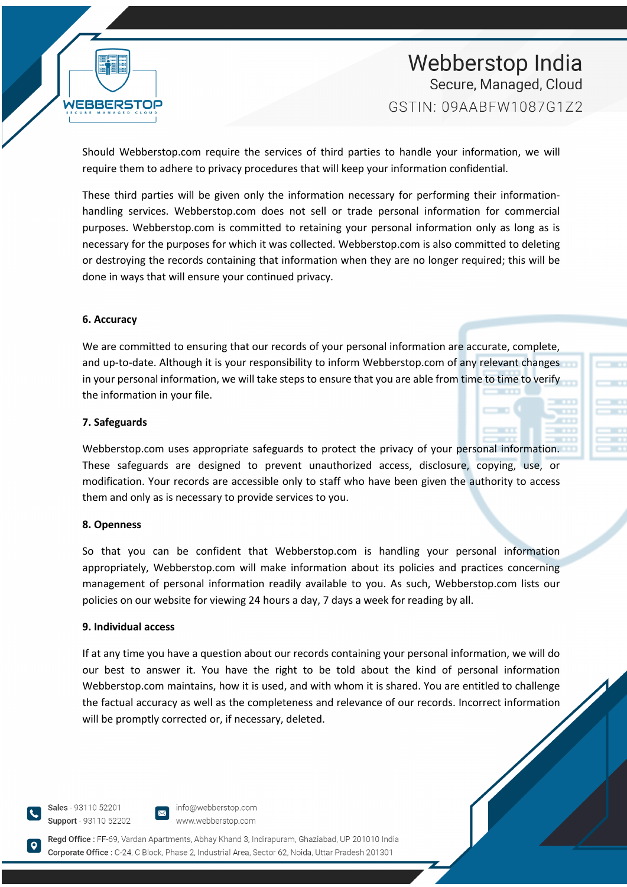

# Webberstop India Secure, Managed, Cloud GSTIN: 09AARFW1087G172

Should Webberstop.com require the services of third parties to handle your information, we will require them to adhere to privacy procedures that will keep your information confidential.

These third parties will be given only the information necessary for performing their informationhandling services. Webberstop.com does not sell or trade personal information for commercial purposes. Webberstop.com is committed to retaining your personal information only as long as is necessary for the purposes for which it was collected. Webberstop.com is also committed to deleting or destroying the records containing that information when they are no longer required; this will be done in ways that will ensure your continued privacy.

### **6. Accuracy**

We are committed to ensuring that our records of your personal information are accurate, complete, and up-to-date. Although it is your responsibility to inform Webberstop.com of any relevant changes in your personal information, we will take steps to ensure that you are able from time to time to verify the information in your file.

#### **7. Safeguards**

Webberstop.com uses appropriate safeguards to protect the privacy of your personal information. These safeguards are designed to prevent unauthorized access, disclosure, copying, use, or modification. Your records are accessible only to staff who have been given the authority to access them and only as is necessary to provide services to you.

### **8. Openness**

So that you can be confident that Webberstop.com is handling your personal information appropriately, Webberstop.com will make information about its policies and practices concerning management of personal information readily available to you. As such, Webberstop.com lists our policies on our website for viewing 24 hours a day, 7 days a week for reading by all.

#### **9. Individual access**

If at any time you have a question about our records containing your personal information, we will do our best to answer it. You have the right to be told about the kind of personal information Webberstop.com maintains, how it is used, and with whom it is shared. You are entitled to challenge the factual accuracy as well as the completeness and relevance of our records. Incorrect information will be promptly corrected or, if necessary, deleted.

Sales - 93110 52201 Support - 93110 52202



Regd Office: FF-69, Vardan Apartments, Abhay Khand 3, Indirapuram, Ghaziabad, UP 201010 India Corporate Office : C-24. C Block. Phase 2. Industrial Area. Sector 62. Noida. Uttar Pradesh 201301